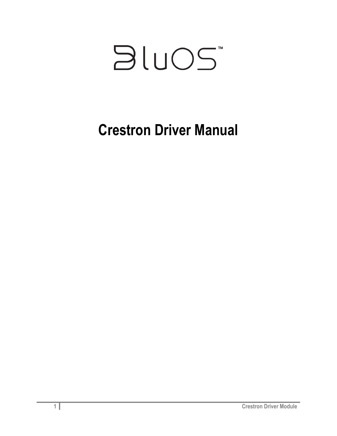

# **Crestron Driver Manual**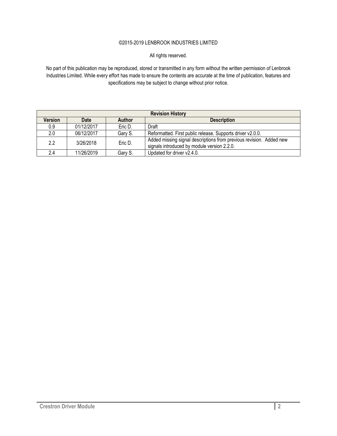#### ©2015-2019 LENBROOK INDUSTRIES LIMITED

All rights reserved.

No part of this publication may be reproduced, stored or transmitted in any form without the written permission of Lenbrook Industries Limited. While every effort has made to ensure the contents are accurate at the time of publication, features and specifications may be subject to change without prior notice.

| <b>Revision History</b>                                       |            |         |                                                                                                                    |
|---------------------------------------------------------------|------------|---------|--------------------------------------------------------------------------------------------------------------------|
| <b>Version</b><br><b>Date</b><br>Author<br><b>Description</b> |            |         |                                                                                                                    |
| 0.9                                                           | 01/12/2017 | Eric D. | Draft                                                                                                              |
| 2.0                                                           | 06/12/2017 | Gary S. | Reformatted. First public release. Supports driver v2.0.0.                                                         |
| 2.2                                                           | 3/26/2018  | Eric D. | Added missing signal descriptions from previous revision. Added new<br>signals introduced by module version 2.2.0. |
| 2.4                                                           | 11/26/2019 | Garv S. | Updated for driver v2.4.0.                                                                                         |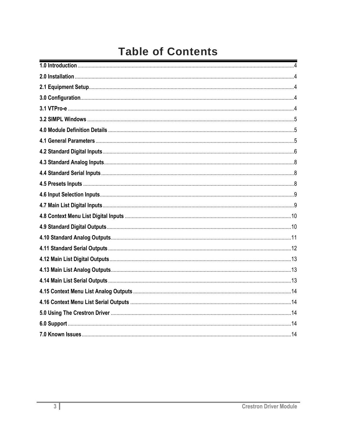## **Table of Contents**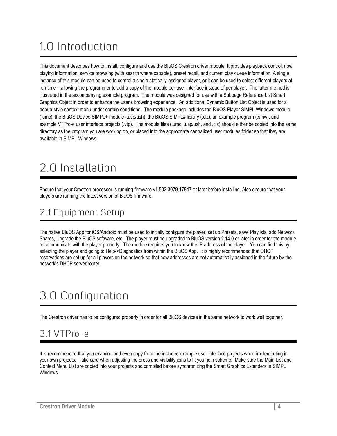# <span id="page-3-0"></span>1.0 Introduction

This document describes how to install, configure and use the BluOS Crestron driver module. It provides playback control, now playing information, service browsing (with search where capable), preset recall, and current play queue information. A single instance of this module can be used to control a single statically-assigned player, or it can be used to select different players at run time – allowing the programmer to add a copy of the module per user interface instead of per player. The latter method is illustrated in the accompanying example program. The module was designed for use with a Subpage Reference List Smart Graphics Object in order to enhance the user's browsing experience. An additional Dynamic Button List Object is used for a popup-style context menu under certain conditions. The module package includes the BluOS Player SIMPL Windows module (.umc), the BluOS Device SIMPL+ module (.usp/ush), the BluOS SIMPL# library (.clz), an example program (.smw), and example VTPro-e user interface projects (.vtp). The module files (.umc, .usp/ush, and .clz) should either be copied into the same directory as the program you are working on, or placed into the appropriate centralized user modules folder so that they are available in SIMPL Windows.

## <span id="page-3-1"></span>2.0 Installation

Ensure that your Crestron processor is running firmware v1.502.3079.17847 or later before installing. Also ensure that your players are running the latest version of BluOS firmware.

#### <span id="page-3-2"></span>2.1 Equipment Setup

The native BluOS App for iOS/Android must be used to initially configure the player, set up Presets, save Playlists, add Network Shares, Upgrade the BluOS software, etc. The player must be upgraded to BluOS version 2.14.0 or later in order for the module to communicate with the player properly. The module requires you to know the IP address of the player. You can find this by selecting the player and going to Help->Diagnostics from within the BluOS App. It is highly recommended that DHCP reservations are set up for all players on the network so that new addresses are not automatically assigned in the future by the network's DHCP server/router.

## <span id="page-3-3"></span>3.0 Configuration

The Crestron driver has to be configured properly in order for all BluOS devices in the same network to work well together.

#### <span id="page-3-4"></span> $3.1$  VTP $f$  $0 - e$

It is recommended that you examine and even copy from the included example user interface projects when implementing in your own projects. Take care when adjusting the press and visibility joins to fit your join scheme. Make sure the Main List and Context Menu List are copied into your projects and compiled before synchronizing the Smart Graphics Extenders in SIMPL Windows.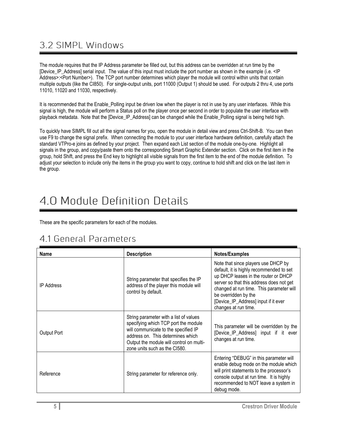#### <span id="page-4-0"></span>3.2 SIMPL Windows

The module requires that the IP Address parameter be filled out, but this address can be overridden at run time by the [Device IP Address] serial input. The value of this input must include the port number as shown in the example (i.e. <IP Address>:<Port Number>). The TCP port number determines which player the module will control within units that contain multiple outputs (like the CI850). For single-output units, port 11000 (Output 1) should be used. For outputs 2 thru 4, use ports 11010, 11020 and 11030, respectively.

It is recommended that the Enable Polling input be driven low when the player is not in use by any user interfaces. While this signal is high, the module will perform a Status poll on the player once per second in order to populate the user interface with playback metadata. Note that the [Device IP\_Address] can be changed while the Enable\_Polling signal is being held high.

To quickly have SIMPL fill out all the signal names for you, open the module in detail view and press Ctrl-Shift-B. You can then use F9 to change the signal prefix. When connecting the module to your user interface hardware definition, carefully attach the standard VTPro-e joins as defined by your project. Then expand each List section of the module one-by-one. Highlight all signals in the group, and copy/paste them onto the corresponding Smart Graphic Extender section. Click on the first item in the group, hold Shift, and press the End key to highlight all visible signals from the first item to the end of the module definition. To adjust your selection to include only the items in the group you want to copy, continue to hold shift and click on the last item in the group.

## <span id="page-4-1"></span>4 0 Module Definition Details

These are the specific parameters for each of the modules.

#### <span id="page-4-2"></span>4.1 General Parameters

| Name              | <b>Description</b>                                                                                                                                                                                                                       | Notes/Examples                                                                                                                                                                                                                                                                                          |
|-------------------|------------------------------------------------------------------------------------------------------------------------------------------------------------------------------------------------------------------------------------------|---------------------------------------------------------------------------------------------------------------------------------------------------------------------------------------------------------------------------------------------------------------------------------------------------------|
| <b>IP Address</b> | String parameter that specifies the IP<br>address of the player this module will<br>control by default.                                                                                                                                  | Note that since players use DHCP by<br>default, it is highly recommended to set<br>up DHCP leases in the router or DHCP<br>server so that this address does not get<br>changed at run time. This parameter will<br>be overridden by the<br>[Device_IP_Address] input if it ever<br>changes at run time. |
| Output Port       | String parameter with a list of values<br>specifying which TCP port the module<br>will communicate to the specified IP<br>address on. This determines which<br>Output the module will control on multi-<br>zone units such as the CI580. | This parameter will be overridden by the<br>[Device_IP_Address] input if it ever<br>changes at run time.                                                                                                                                                                                                |
| Reference         | String parameter for reference only.                                                                                                                                                                                                     | Entering "DEBUG" in this parameter will<br>enable debug mode on the module which<br>will print statements to the processor's<br>console output at run time. It is highly<br>recommended to NOT leave a system in<br>debug mode.                                                                         |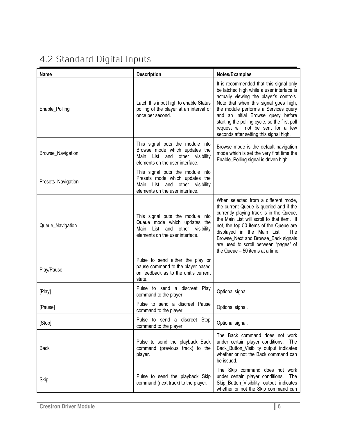### <span id="page-5-0"></span>4.2 Standard Digital Inputs

| <b>Name</b>        | <b>Description</b>                                                                                                                           | Notes/Examples                                                                                                                                                                                                                                                                                                                                                                           |
|--------------------|----------------------------------------------------------------------------------------------------------------------------------------------|------------------------------------------------------------------------------------------------------------------------------------------------------------------------------------------------------------------------------------------------------------------------------------------------------------------------------------------------------------------------------------------|
| Enable_Polling     | Latch this input high to enable Status<br>polling of the player at an interval of<br>once per second.                                        | It is recommended that this signal only<br>be latched high while a user interface is<br>actually viewing the player's controls.<br>Note that when this signal goes high,<br>the module performs a Services query<br>and an initial Browse query before<br>starting the polling cycle, so the first poll<br>request will not be sent for a few<br>seconds after setting this signal high. |
| Browse_Navigation  | This signal puts the module into<br>Browse mode which updates the<br>other visibility<br>List and<br>Main<br>elements on the user interface. | Browse mode is the default navigation<br>mode which is set the very first time the<br>Enable_Polling signal is driven high.                                                                                                                                                                                                                                                              |
| Presets_Navigation | This signal puts the module into<br>Presets mode which updates the<br>Main List and other visibility<br>elements on the user interface.      |                                                                                                                                                                                                                                                                                                                                                                                          |
| Queue_Navigation   | This signal puts the module into<br>Queue mode which updates the<br>other visibility<br>List and<br>Main<br>elements on the user interface.  | When selected from a different mode,<br>the current Queue is queried and if the<br>currently playing track is in the Queue,<br>the Main List will scroll to that item. If<br>not, the top 50 items of the Queue are<br>displayed in the Main List.<br>The<br>Browse_Next and Browse_Back signals<br>are used to scroll between "pages" of<br>the Queue - 50 items at a time.             |
| Play/Pause         | Pulse to send either the play or<br>pause command to the player based<br>on feedback as to the unit's current<br>state.                      |                                                                                                                                                                                                                                                                                                                                                                                          |
| [Play]             | Pulse to send a discreet Play<br>command to the player.                                                                                      | Optional signal.                                                                                                                                                                                                                                                                                                                                                                         |
| [Pause]            | Pulse to send a discreet Pause<br>command to the player.                                                                                     | Optional signal.                                                                                                                                                                                                                                                                                                                                                                         |
| [Stop]             | Pulse to send a discreet Stop<br>command to the player.                                                                                      | Optional signal.                                                                                                                                                                                                                                                                                                                                                                         |
| <b>Back</b>        | Pulse to send the playback Back<br>command (previous track) to the<br>player.                                                                | The Back command does not work<br>under certain player conditions.<br>The<br>Back_Button_Visibility output indicates<br>whether or not the Back command can<br>be issued.                                                                                                                                                                                                                |
| Skip               | Pulse to send the playback Skip<br>command (next track) to the player.                                                                       | The Skip command does not work<br>under certain player conditions.<br>The<br>Skip_Button_Visibility output indicates<br>whether or not the Skip command can                                                                                                                                                                                                                              |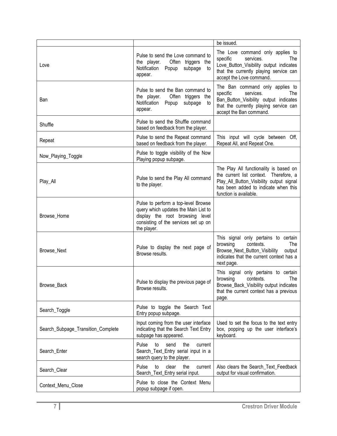|                                    |                                                                                                                                                                       | be issued.                                                                                                                                                                                     |
|------------------------------------|-----------------------------------------------------------------------------------------------------------------------------------------------------------------------|------------------------------------------------------------------------------------------------------------------------------------------------------------------------------------------------|
| Love                               | Pulse to send the Love command to<br>the player.<br>Often triggers the<br>Notification<br>Popup<br>subpage<br>to<br>appear.                                           | The Love command only applies to<br>services.<br>specific<br>The<br>Love_Button_Visibility output indicates<br>that the currently playing service can<br>accept the Love command.              |
| Ban                                | Pulse to send the Ban command to<br>the player.<br>Often triggers the<br>Notification Popup<br>subpage<br>to<br>appear.                                               | The Ban command only applies to<br>specific<br>services.<br>The<br>Ban_Button_Visibility output indicates<br>that the currently playing service can<br>accept the Ban command.                 |
| Shuffle                            | Pulse to send the Shuffle command<br>based on feedback from the player.                                                                                               |                                                                                                                                                                                                |
| Repeat                             | Pulse to send the Repeat command<br>based on feedback from the player.                                                                                                | This input will cycle between Off,<br>Repeat All, and Repeat One.                                                                                                                              |
| Now_Playing_Toggle                 | Pulse to toggle visibility of the Now<br>Playing popup subpage.                                                                                                       |                                                                                                                                                                                                |
| Play_All                           | Pulse to send the Play All command<br>to the player.                                                                                                                  | The Play All functionality is based on<br>the current list context. Therefore, a<br>Play_All_Button_Visibility output signal<br>has been added to indicate when this<br>function is available. |
| Browse_Home                        | Pulse to perform a top-level Browse<br>query which updates the Main List to<br>display the root browsing level<br>consisting of the services set up on<br>the player. |                                                                                                                                                                                                |
| Browse_Next                        | Pulse to display the next page of<br>Browse results.                                                                                                                  | This signal only pertains to certain<br>browsing<br>contexts.<br>The<br>Browse_Next_Button_Visibility<br>output<br>indicates that the current context has a<br>next page.                      |
| Browse_Back                        | Pulse to display the previous page of<br>Browse results.                                                                                                              | This signal only pertains to certain<br>contexts.<br>browsing<br>The<br>Browse_Back_Visibility output indicates<br>that the current context has a previous<br>page.                            |
| Search_Toggle                      | Pulse to toggle the Search Text<br>Entry popup subpage.                                                                                                               |                                                                                                                                                                                                |
| Search_Subpage_Transition_Complete | Input coming from the user interface<br>indicating that the Search Text Entry<br>subpage has appeared.                                                                | Used to set the focus to the text entry<br>box, popping up the user interface's<br>keyboard.                                                                                                   |
| Search_Enter                       | Pulse<br>to<br>send<br>the<br>current<br>Search_Text_Entry serial input in a<br>search query to the player.                                                           |                                                                                                                                                                                                |
| Search_Clear                       | Pulse<br>to<br>clear<br>the<br>current<br>Search_Text_Entry serial input.                                                                                             | Also clears the Search_Text_Feedback<br>output for visual confirmation.                                                                                                                        |
| Context_Menu_Close                 | Pulse to close the Context Menu<br>popup subpage if open.                                                                                                             |                                                                                                                                                                                                |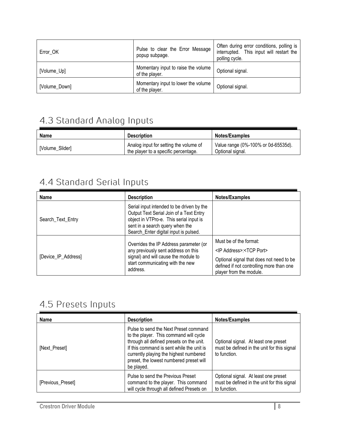| Error OK      | Pulse to clear the Error Message<br>popup subpage.    | Often during error conditions, polling is<br>interrupted. This input will restart the<br>polling cycle. |
|---------------|-------------------------------------------------------|---------------------------------------------------------------------------------------------------------|
| [Volume_Up]   | Momentary input to raise the volume<br>of the player. | Optional signal.                                                                                        |
| [Volume_Down] | Momentary input to lower the volume<br>of the player. | Optional signal.                                                                                        |

## <span id="page-7-0"></span>4.3 Standard Analog Inputs

| <b>Name</b>     | <b>Description</b>                                                             | <b>Notes/Examples</b>                                   |
|-----------------|--------------------------------------------------------------------------------|---------------------------------------------------------|
| [Volume Slider] | Analog input for setting the volume of<br>the player to a specific percentage. | Value range (0%-100% or 0d-65535d).<br>Optional signal. |

#### <span id="page-7-1"></span>4.4 Standard Serial Inputs

| Name                | <b>Description</b>                                                                                                                                                                                          | Notes/Examples                                                                                                                                                                           |
|---------------------|-------------------------------------------------------------------------------------------------------------------------------------------------------------------------------------------------------------|------------------------------------------------------------------------------------------------------------------------------------------------------------------------------------------|
| Search_Text_Entry   | Serial input intended to be driven by the<br>Output Text Serial Join of a Text Entry<br>object in VTPro-e. This serial input is<br>sent in a search query when the<br>Search_Enter digital input is pulsed. |                                                                                                                                                                                          |
| [Device_IP_Address] | Overrides the IP Address parameter (or<br>any previously sent address on this<br>signal) and will cause the module to<br>start communicating with the new<br>address.                                       | Must be of the format:<br><ip address="">:<tcp port=""><br/>Optional signal that does not need to be<br/>defined if not controlling more than one<br/>player from the module.</tcp></ip> |

#### <span id="page-7-2"></span>4.5 Presets Inputs

| <b>Name</b>       | <b>Description</b>                                                                                                                                                                                                                                                          | Notes/Examples                                                                                      |
|-------------------|-----------------------------------------------------------------------------------------------------------------------------------------------------------------------------------------------------------------------------------------------------------------------------|-----------------------------------------------------------------------------------------------------|
| [Next_Preset]     | Pulse to send the Next Preset command<br>to the player. This command will cycle<br>through all defined presets on the unit.<br>If this command is sent while the unit is<br>currently playing the highest numbered<br>preset, the lowest numbered preset will<br>be played. | Optional signal. At least one preset<br>must be defined in the unit for this signal<br>to function. |
| [Previous_Preset] | Pulse to send the Previous Preset<br>command to the player. This command<br>will cycle through all defined Presets on                                                                                                                                                       | Optional signal. At least one preset<br>must be defined in the unit for this signal<br>to function. |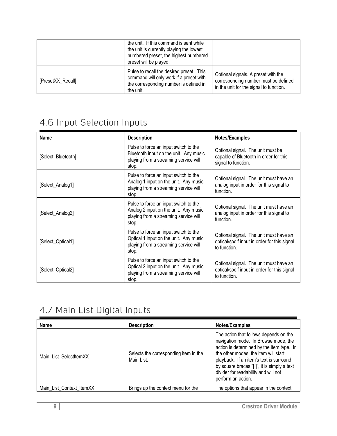|                   | the unit. If this command is sent while<br>the unit is currently playing the lowest<br>numbered preset, the highest numbered<br>preset will be played. |                                                                                                                        |
|-------------------|--------------------------------------------------------------------------------------------------------------------------------------------------------|------------------------------------------------------------------------------------------------------------------------|
| [PresetXX_Recall] | Pulse to recall the desired preset. This<br>command will only work if a preset with<br>the corresponding number is defined in<br>the unit.             | Optional signals. A preset with the<br>corresponding number must be defined<br>in the unit for the signal to function. |

#### <span id="page-8-0"></span>4.6 Input Selection Inputs

| <b>Name</b>        | <b>Description</b>                                                                                                                | Notes/Examples                                                                                         |
|--------------------|-----------------------------------------------------------------------------------------------------------------------------------|--------------------------------------------------------------------------------------------------------|
| [Select_Bluetooth] | Pulse to force an input switch to the<br>Bluetooth input on the unit. Any music<br>playing from a streaming service will<br>stop. | Optional signal. The unit must be<br>capable of Bluetooth in order for this<br>signal to function.     |
| [Select_Analog1]   | Pulse to force an input switch to the<br>Analog 1 input on the unit. Any music<br>playing from a streaming service will<br>stop.  | Optional signal. The unit must have an<br>analog input in order for this signal to<br>function.        |
| [Select_Analog2]   | Pulse to force an input switch to the<br>Analog 2 input on the unit. Any music<br>playing from a streaming service will<br>stop.  | Optional signal. The unit must have an<br>analog input in order for this signal to<br>function.        |
| [Select_Optical1]  | Pulse to force an input switch to the<br>Optical 1 input on the unit. Any music<br>playing from a streaming service will<br>stop. | Optional signal. The unit must have an<br>optical/spdif input in order for this signal<br>to function. |
| [Select_Optical2]  | Pulse to force an input switch to the<br>Optical 2 input on the unit. Any music<br>playing from a streaming service will<br>stop. | Optional signal. The unit must have an<br>optical/spdif input in order for this signal<br>to function. |

### <span id="page-8-1"></span>4.7 Main List Digital Inputs

| <b>Name</b>              | <b>Description</b>                                  | Notes/Examples                                                                                                                                                                                                                                                                                                             |
|--------------------------|-----------------------------------------------------|----------------------------------------------------------------------------------------------------------------------------------------------------------------------------------------------------------------------------------------------------------------------------------------------------------------------------|
| Main List SelectItemXX   | Selects the corresponding item in the<br>Main List. | The action that follows depends on the<br>navigation mode. In Browse mode, the<br>action is determined by the item type. In<br>the other modes, the item will start<br>playback. If an item's text is surround<br>by square braces "[]", it is simply a text<br>divider for readability and will not<br>perform an action. |
| Main_List_Context_ItemXX | Brings up the context menu for the                  | The options that appear in the context                                                                                                                                                                                                                                                                                     |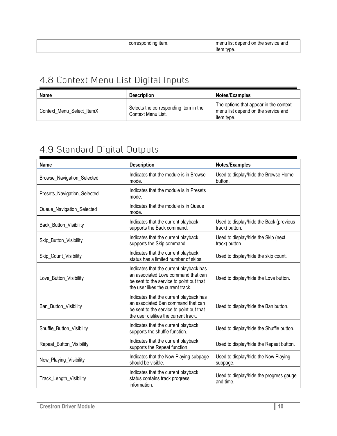| -----<br>∵item.<br>ənain<br>الان<br>cə | rvice and<br>.<br>ser<br>menu<br>.or<br>list<br>me<br>aepena |
|----------------------------------------|--------------------------------------------------------------|
|                                        | tvpe<br>iten                                                 |

## <span id="page-9-0"></span>4.8 Context Menu List Digital Inputs

| Name                      | <b>Description</b>                                          | <b>Notes/Examples</b>                                                                       |
|---------------------------|-------------------------------------------------------------|---------------------------------------------------------------------------------------------|
| Context Menu Select ItemX | Selects the corresponding item in the<br>Context Menu List. | The options that appear in the context<br>menu list depend on the service and<br>item tvpe. |

## <span id="page-9-1"></span>4.9 Standard Digital Outputs

| <b>Name</b>                 | <b>Description</b>                                                                                                                                                | Notes/Examples                                            |
|-----------------------------|-------------------------------------------------------------------------------------------------------------------------------------------------------------------|-----------------------------------------------------------|
| Browse_Navigation_Selected  | Indicates that the module is in Browse<br>mode.                                                                                                                   | Used to display/hide the Browse Home<br>button.           |
| Presets_Navigation_Selected | Indicates that the module is in Presets<br>mode.                                                                                                                  |                                                           |
| Queue_Navigation_Selected   | Indicates that the module is in Queue<br>mode.                                                                                                                    |                                                           |
| Back_Button_Visibility      | Indicates that the current playback<br>supports the Back command.                                                                                                 | Used to display/hide the Back (previous<br>track) button. |
| Skip_Button_Visibility      | Indicates that the current playback<br>supports the Skip command.                                                                                                 | Used to display/hide the Skip (next<br>track) button.     |
| Skip_Count_Visibility       | Indicates that the current playback<br>status has a limited number of skips.                                                                                      | Used to display/hide the skip count.                      |
| Love_Button_Visibility      | Indicates that the current playback has<br>an associated Love command that can<br>be sent to the service to point out that<br>the user likes the current track.   | Used to display/hide the Love button.                     |
| Ban_Button_Visibility       | Indicates that the current playback has<br>an associated Ban command that can<br>be sent to the service to point out that<br>the user dislikes the current track. | Used to display/hide the Ban button.                      |
| Shuffle_Button_Visibility   | Indicates that the current playback<br>supports the shuffle function.                                                                                             | Used to display/hide the Shuffle button.                  |
| Repeat_Button_Visibility    | Indicates that the current playback<br>supports the Repeat function.                                                                                              | Used to display/hide the Repeat button.                   |
| Now_Playing_Visibility      | Indicates that the Now Playing subpage<br>should be visible.                                                                                                      | Used to display/hide the Now Playing<br>subpage.          |
| Track_Length_Visibility     | Indicates that the current playback<br>status contains track progress<br>information.                                                                             | Used to display/hide the progress gauge<br>and time.      |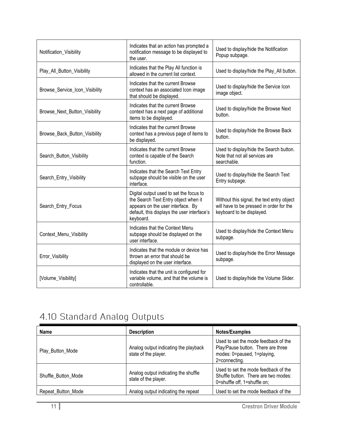| Notification_Visibility        | Indicates that an action has prompted a<br>notification message to be displayed to<br>the user.                                                                                  | Used to display/hide the Notification<br>Popup subpage.                                                             |
|--------------------------------|----------------------------------------------------------------------------------------------------------------------------------------------------------------------------------|---------------------------------------------------------------------------------------------------------------------|
| Play_All_Button_Visibility     | Indicates that the Play All function is<br>allowed in the current list context.                                                                                                  | Used to display/hide the Play_All button.                                                                           |
| Browse_Service_Icon_Visibility | Indicates that the current Browse<br>context has an associated Icon image<br>that should be displayed.                                                                           | Used to display/hide the Service Icon<br>image object.                                                              |
| Browse_Next_Button_Visibility  | Indicates that the current Browse<br>context has a next page of additional<br>items to be displayed.                                                                             | Used to display/hide the Browse Next<br>button.                                                                     |
| Browse_Back_Button_Visibility  | Indicates that the current Browse<br>context has a previous page of items to<br>be displayed.                                                                                    | Used to display/hide the Browse Back<br>button.                                                                     |
| Search_Button_Visibility       | Indicates that the current Browse<br>context is capable of the Search<br>function.                                                                                               | Used to display/hide the Search button.<br>Note that not all services are<br>searchable.                            |
| Search_Entry_Visibility        | Indicates that the Search Text Entry<br>subpage should be visible on the user<br>interface.                                                                                      | Used to display/hide the Search Text<br>Entry subpage.                                                              |
| Search_Entry_Focus             | Digital output used to set the focus to<br>the Search Text Entry object when it<br>appears on the user interface. By<br>default, this displays the user interface's<br>keyboard. | Without this signal, the text entry object<br>will have to be pressed in order for the<br>keyboard to be displayed. |
| Context_Menu_Visibility        | Indicates that the Context Menu<br>subpage should be displayed on the<br>user interface.                                                                                         | Used to display/hide the Context Menu<br>subpage.                                                                   |
| Error_Visibility               | Indicates that the module or device has<br>thrown an error that should be<br>displayed on the user interface.                                                                    | Used to display/hide the Error Message<br>subpage.                                                                  |
| [Volume_Visibility]            | Indicates that the unit is configured for<br>variable volume, and that the volume is<br>controllable.                                                                            | Used to display/hide the Volume Slider.                                                                             |

### <span id="page-10-0"></span>4.10 Standard Analog Outputs

| <b>Name</b>         | <b>Description</b>                                            | Notes/Examples                                                                                                             |
|---------------------|---------------------------------------------------------------|----------------------------------------------------------------------------------------------------------------------------|
| Play_Button_Mode    | Analog output indicating the playback<br>state of the player. | Used to set the mode feedback of the<br>Play/Pause button. There are three<br>modes: 0=paused, 1=playing,<br>2=connecting. |
| Shuffle Button Mode | Analog output indicating the shuffle<br>state of the player.  | Used to set the mode feedback of the<br>Shuffle button. There are two modes:<br>0=shuffle off, 1=shuffle on;               |
| Repeat_Button_Mode  | Analog output indicating the repeat                           | Used to set the mode feedback of the                                                                                       |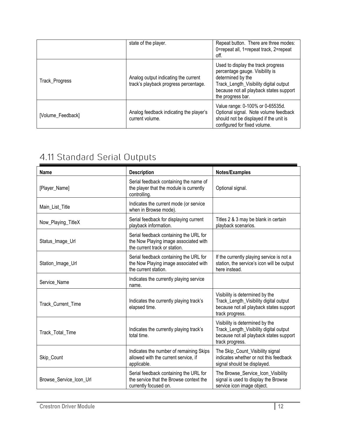|                   | state of the player.                                                          | Repeat button. There are three modes:<br>0=repeat all, 1=repeat track, 2=repeat<br>off.                                                                                                              |
|-------------------|-------------------------------------------------------------------------------|------------------------------------------------------------------------------------------------------------------------------------------------------------------------------------------------------|
| Track_Progress    | Analog output indicating the current<br>track's playback progress percentage. | Used to display the track progress<br>percentage gauge. Visibility is<br>determined by the<br>Track_Length_Visibility digital output<br>because not all playback states support<br>the progress bar. |
| [Volume_Feedback] | Analog feedback indicating the player's<br>current volume.                    | Value range: 0-100% or 0-65535d.<br>Optional signal. Note volume feedback<br>should not be displayed if the unit is<br>configured for fixed volume.                                                  |

## <span id="page-11-0"></span>4.11 Standard Serial Outputs

| <b>Name</b>             | <b>Description</b>                                                                                               | Notes/Examples                                                                                                                          |
|-------------------------|------------------------------------------------------------------------------------------------------------------|-----------------------------------------------------------------------------------------------------------------------------------------|
| [Player_Name]           | Serial feedback containing the name of<br>the player that the module is currently<br>controlling.                | Optional signal.                                                                                                                        |
| Main_List_Title         | Indicates the current mode (or service<br>when in Browse mode).                                                  |                                                                                                                                         |
| Now_Playing_TitleX      | Serial feedback for displaying current<br>playback information.                                                  | Titles 2 & 3 may be blank in certain<br>playback scenarios.                                                                             |
| Status_Image_Url        | Serial feedback containing the URL for<br>the Now Playing image associated with<br>the current track or station. |                                                                                                                                         |
| Station_Image_Url       | Serial feedback containing the URL for<br>the Now Playing image associated with<br>the current station.          | If the currently playing service is not a<br>station, the service's icon will be output<br>here instead.                                |
| Service_Name            | Indicates the currently playing service<br>name.                                                                 |                                                                                                                                         |
| Track Current Time      | Indicates the currently playing track's<br>elapsed time.                                                         | Visibility is determined by the<br>Track_Length_Visibility digital output<br>because not all playback states support<br>track progress. |
| Track_Total_Time        | Indicates the currently playing track's<br>total time.                                                           | Visibility is determined by the<br>Track_Length_Visibility digital output<br>because not all playback states support<br>track progress. |
| Skip_Count              | Indicates the number of remaining Skips<br>allowed with the current service, if<br>applicable.                   | The Skip_Count_Visibility signal<br>indicates whether or not this feedback<br>signal should be displayed.                               |
| Browse_Service_Icon_Url | Serial feedback containing the URL for<br>the service that the Browse context the<br>currently focused on.       | The Browse_Service_Icon_Visibility<br>signal is used to display the Browse<br>service icon image object.                                |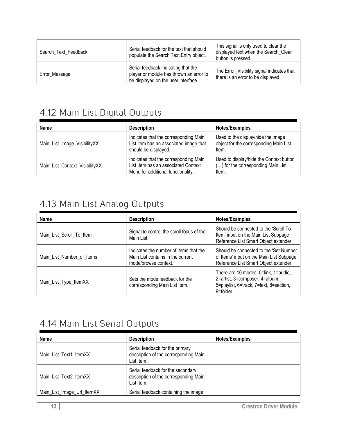| Search Text Feedback | Serial feedback for the text that should<br>populate the Search Text Entry object.                                    | This signal is only used to clear the<br>displayed text when the Search_Clear<br>button is pressed. |
|----------------------|-----------------------------------------------------------------------------------------------------------------------|-----------------------------------------------------------------------------------------------------|
| Error_Message        | Serial feedback indicating that the<br>player or module has thrown an error to<br>be displayed on the user interface. | The Error_Visibility signal indicates that<br>there is an error to be displayed.                    |

#### <span id="page-12-0"></span>4.12 Main List Digital Outputs

| Name                           | <b>Description</b>                                                                                                 | Notes/Examples                                                                         |
|--------------------------------|--------------------------------------------------------------------------------------------------------------------|----------------------------------------------------------------------------------------|
| Main_List_Image_VisibilityXX   | Indicates that the corresponding Main<br>List item has an associated image that<br>should be displayed.            | Used to the display/hide the image<br>object for the corresponding Main List<br>Item.  |
| Main List Context VisibilityXX | Indicates that the corresponding Main<br>List Item has an associated Context<br>Menu for additional functionality. | Used to display/hide the Context button<br>() for the corresponding Main List<br>Item. |

#### <span id="page-12-1"></span>4.13 Main List Analog Outputs

| Name                      | <b>Description</b>                                                                                  | Notes/Examples                                                                                                                 |
|---------------------------|-----------------------------------------------------------------------------------------------------|--------------------------------------------------------------------------------------------------------------------------------|
| Main_List_Scroll_To_Item  | Signal to control the scroll focus of the<br>Main List.                                             | Should be connected to the 'Scroll To<br>Item' input on the Main List Subpage<br>Reference List Smart Object extender.         |
| Main_List_Number_of_Items | Indicates the number of items that the<br>Main List contains in the current<br>mode/browse context. | Should be connected to the 'Set Number<br>of Items' input on the Main List Subpage<br>Reference List Smart Object extender.    |
| Main_List_Type_ItemXX     | Sets the mode feedback for the<br>corresponding Main List Item.                                     | There are 10 modes: 0=link, 1=audio,<br>2=artist, 3=composer, 4=album,<br>5=playlist, 6=track, 7=text, 8=section,<br>9=folder. |

#### <span id="page-12-2"></span>4.14 Main List Serial Outputs

| <b>Name</b>                | <b>Description</b>                                                                       | Notes/Examples |
|----------------------------|------------------------------------------------------------------------------------------|----------------|
| Main List Text1 ItemXX     | Serial feedback for the primary<br>description of the corresponding Main<br>List Item.   |                |
| Main List Text2 ItemXX     | Serial feedback for the secondary<br>description of the corresponding Main<br>List Item. |                |
| Main_List_Image_Url_ItemXX | Serial feedback containing the image                                                     |                |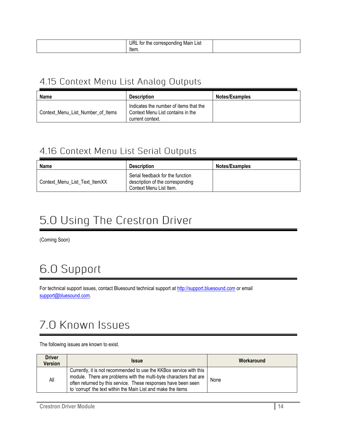| url<br>List<br>Mair<br>tor<br>me<br>amo<br>GOL.<br>וי -<br>ו ההי<br>Item. |  |
|---------------------------------------------------------------------------|--|
|                                                                           |  |

#### <span id="page-13-0"></span>4.15 Context Menu List Analog Outputs

| <b>Name</b>                       | <b>Description</b>                                                                              | <b>Notes/Examples</b> |
|-----------------------------------|-------------------------------------------------------------------------------------------------|-----------------------|
| Context Menu List Number of Items | Indicates the number of items that the<br>Context Menu List contains in the<br>current context. |                       |

#### <span id="page-13-1"></span>4.16 Context Menu List Serial Outputs

| <b>Name</b>                   | <b>Description</b>                                                                              | <b>Notes/Examples</b> |
|-------------------------------|-------------------------------------------------------------------------------------------------|-----------------------|
| Context_Menu_List_Text_ItemXX | Serial feedback for the function<br>description of the corresponding<br>Context Menu List Item. |                       |

## <span id="page-13-2"></span>5.0 Using The Crestron Driver

(Coming Soon)

## <span id="page-13-3"></span>6.0 Support

For technical support issues, contact Bluesound technical support at [http://support.bluesound.com](http://support.bluesound.com/) or email [support@bluesound.com.](mailto:support@bluesound.com)

## <span id="page-13-4"></span>7.0 Known Issues

#### The following issues are known to exist.

| <b>Driver</b><br><b>Version</b> | <b>Issue</b>                                                                                                                                                                                                                                                                 | Workaround |
|---------------------------------|------------------------------------------------------------------------------------------------------------------------------------------------------------------------------------------------------------------------------------------------------------------------------|------------|
| All                             | Currently, it is not recommended to use the KKBox service with this<br>module. There are problems with the multi-byte characters that are<br>often returned by this service. These responses have been seen<br>to 'corrupt' the text within the Main List and make the items | None       |